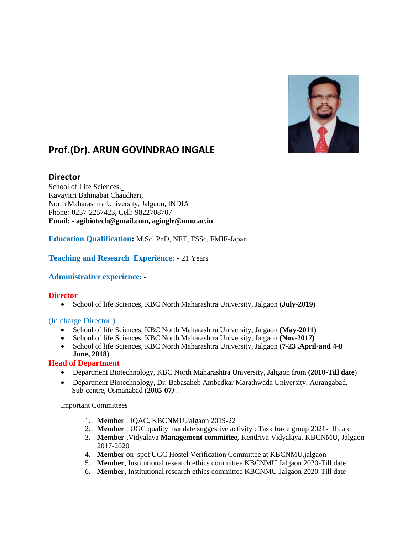

# **Prof.(Dr). ARUN GOVINDRAO INGALE**

## **Director**

School of Life Sciences, Kavayitri Bahinabai Chaudhari, North Maharashtra University, Jalgaon, INDIA Phone:-0257-2257423, Cell: 9822708707 **Email: - agibiotech@gmail.com, agingle@nmu.ac.in**

**Education Qualification:** M.Sc. PhD, NET, FSSc, FMIF-Japan

**Teaching and Research Experience: -** 21 Years

## **Administrative experience: -**

## **Director**

• School of life Sciences, KBC North Maharashtra University, Jalgaon **(July-2019)**

## (In charge Director )

- School of life Sciences, KBC North Maharashtra University, Jalgaon **(May-2011)**
- School of life Sciences, KBC North Maharashtra University, Jalgaon **(Nov-2017)**
- School of life Sciences, KBC North Maharashtra University, Jalgaon **(7-23 ,April-and 4-8 June, 2018)**

## **Head of Department**

- Department Biotechnology, KBC North Maharashtra University, Jalgaon from **(2010-Till date**)
- Department Biotechnology, Dr. Babasaheb Ambedkar Marathwada University, Aurangabad, Sub-centre, Osmanabad (**2005-07***)* .

Important Committees

- 1. **Member** : IQAC, KBCNMU,Jalgaon 2019-22
- 2. **Member** : UGC quality mandate suggestive activity : Task force group 2021-till date
- 3. **Member** ,Vidyalaya **Management committee,** Kendriya Vidyalaya, KBCNMU, Jalgaon 2017-2020
- 4. **Member** on spot UGC Hostel Verification Committee at KBCNMU,jalgaon
- 5. **Member**, Institutional research ethics committee KBCNMU,Jalgaon 2020-Till date
- 6. **Member**, Institutional research ethics committee KBCNMU,Jalgaon 2020-Till date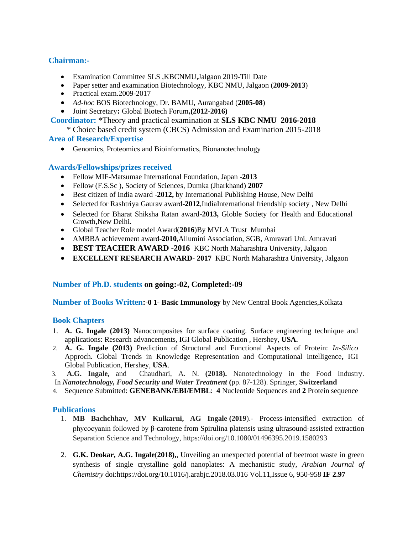## **Chairman:-**

- Examination Committee SLS ,KBCNMU,Jalgaon 2019-Till Date
- Paper setter and examination Biotechnology, KBC NMU, Jalgaon (**2009-2013**)
- Practical exam. 2009-2017
- *Ad-hoc* BOS Biotechnology, Dr. BAMU, Aurangabad (**2005-08**)
- Joint Secretary**:** Global Biotech Forum**,(2012-2016)**
- **Coordinator:** \*Theory and practical examination at **SLS KBC NMU 2016-2018**
	- \* Choice based credit system (CBCS) Admission and Examination 2015-2018

## **Area of Research/Expertise**

• Genomics, Proteomics and Bioinformatics, Bionanotechnology

#### **Awards/Fellowships/prizes received**

- Fellow MIF-Matsumae International Foundation, Japan -**2013**
- Fellow (F.S.Sc ), Society of Sciences, Dumka (Jharkhand) **2007**
- Best citizen of India award -**2012,** by International Publishing House, New Delhi
- Selected for Rashtriya Gaurav award-**2012**,IndiaInternational friendship society , New Delhi
- Selected for Bharat Shiksha Ratan award-**2013,** Globle Society for Health and Educational Growth,New Delhi.
- Global Teacher Role model Award(**2016**)By MVLA Trust Mumbai
- AMBBA achievement award-**2010**,Allumini Association, SGB, Amravati Uni. Amravati
- **BEST TEACHER AWARD -2016** KBC North Maharashtra University, Jalgaon
- **EXCELLENT RESEARCH AWARD- 2017** KBC North Maharashtra University, Jalgaon

## **Number of Ph.D. students on going:-02, Completed:-09**

**Number of Books Written:**-**0 1- Basic Immunology** by New Central Book Agencies,Kolkata

## **Book Chapters**

- 1. **A. G. Ingale (2013)** Nanocomposites for surface coating. Surface engineering technique and applications: Research advancements, IGI Global Publication , Hershey, **USA.**
- 2. **A. G. Ingale (2013)** Prediction of Structural and Functional Aspects of Protein: *In-Silico* Approch. Global Trends in Knowledge Representation and Computational Intelligence**,** IGI Global Publication, Hershey, **USA**.

3. **A.G. Ingale,** and Chaudhari, A. N. **(2018).** Nanotechnology in the Food Industry. In *Nanotechnology, Food Security and Water Treatment* **(**pp. 87-128). Springer, **Switzerland**

4. Sequence Submitted: **GENEBANK/EBI/EMBL**: **4** Nucleotide Sequences and **2** Protein sequence

## **Publications**

- 1. **MB Bachchhav, MV Kulkarni, AG Ingale (2019**).- [Process-intensified extraction of](https://scholar.google.co.in/scholar?oi=bibs&cluster=6317665438676767372&btnI=1&hl=en)  [phycocyanin followed by β-carotene from Spirulina platensis using ultrasound-assisted extraction](https://scholar.google.co.in/scholar?oi=bibs&cluster=6317665438676767372&btnI=1&hl=en) Separation Science and Technology, https://doi.org/10.1080/01496395.2019.1580293
- 2. **G.K. Deokar, A.G. Ingale**(**2018),**, Unveiling an unexpected potential of beetroot waste in green synthesis of single crystalline gold nanoplates: A mechanistic study, *Arabian Journal of Chemistry* doi:https://doi.org/10.1016/j.arabjc.2018.03.016 Vol.11,Issue 6, 950-958 **IF 2.97**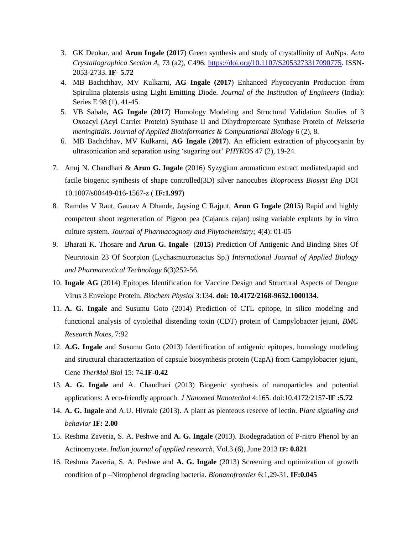- 3. GK Deokar, and **Arun Ingale** (**2017**) Green synthesis and study of crystallinity of AuNps. *Acta Crystallographica Section A,* 73 (a2), C496. [https://doi.org/10.1107/S2053273317090775.](https://doi.org/10.1107/S2053273317090775) ISSN-2053-2733. **IF- 5.72**
- 4. MB Bachchhav, MV Kulkarni, **AG Ingale (2017**) Enhanced Phycocyanin Production from Spirulina platensis using Light Emitting Diode. *Journal of the Institution of Engineers* (India): Series E 98 (1), 41-45.
- 5. VB Sabale**, AG Ingale** (**2017**) Homology Modeling and Structural Validation Studies of 3 Oxoacyl (Acyl Carrier Protein) Synthase II and Dihydropteroate Synthase Protein of *Neisseria meningitidis*. *Journal of Applied Bioinformatics & Computational Biology* 6 (2), 8.
- 6. MB Bachchhav, MV Kulkarni, **AG Ingale** (**2017**). An efficient extraction of phycocyanin by ultrasonication and separation using 'sugaring out' *PHYKOS* 47 (2), 19-24.
- 7. Anuj N. Chaudhari & **Arun G. Ingale** (2016) Syzygium aromaticum extract mediated,rapid and facile biogenic synthesis of shape controlled(3D) silver nanocubes *Bioprocess Biosyst Eng* DOI 10.1007/s00449-016-1567-z ( **IF:1.997**)
- 8. Ramdas V Raut, Gaurav A Dhande, Jaysing C Rajput, **Arun G Ingale** (**2015**) Rapid and highly competent shoot regeneration of Pigeon pea (Cajanus cajan) using variable explants by in vitro culture system. *Journal of Pharmacognosy and Phytochemistry;* 4(4): 01-05
- 9. Bharati K. Thosare and **Arun G. Ingale** (**2015**) Prediction Of Antigenic And Binding Sites Of Neurotoxin 23 Of Scorpion (Lychasmucronactus Sp.) *International Journal of Applied Biology and Pharmaceutical Technology* 6(3)252-56.
- 10. **Ingale AG** (2014) Epitopes Identification for Vaccine Design and Structural Aspects of Dengue Virus 3 Envelope Protein. *Biochem Physiol* 3:134. **doi: 10.4172/2168-9652.1000134***.*
- 11. **A. G. Ingale** and Susumu Goto (2014) Prediction of CTL epitope, in silico modeling and functional analysis of cytolethal distending toxin (CDT) protein of Campylobacter jejuni, *BMC Research Notes*, 7:92
- 12. **A.G. Ingale** and Susumu Goto (2013) Identification of antigenic epitopes, homology modeling and structural characterization of capsule biosynthesis protein (CapA) from Campylobacter jejuni, Gene *TherMol Biol* 15: 74.**IF-0.42**
- 13. **A. G. Ingale** and A. Chaudhari (2013) Biogenic synthesis of nanoparticles and potential applications: A eco-friendly approach. *J Nanomed Nanotechol* 4:165. doi:10.4172/2157-**IF :5.72**
- 14. **A. G. Ingale** and A.U. Hivrale (2013). A plant as plenteous reserve of lectin. P*lant signaling and behavior* **IF: 2.00**
- 15. Reshma Zaveria, S. A. Peshwe and **A. G. Ingale** (2013). Biodegradation of P-nitro Phenol by an Actinomycete. *Indian journal of applied research*, Vol.3 (6), June 2013 **IF: 0.821**
- 16. Reshma Zaveria, S. A. Peshwe and **A. G. Ingale** (2013) Screening and optimization of growth condition of p –Nitrophenol degrading bacteria. *Bionanofrontier* 6:1,29-31. **IF:0.045**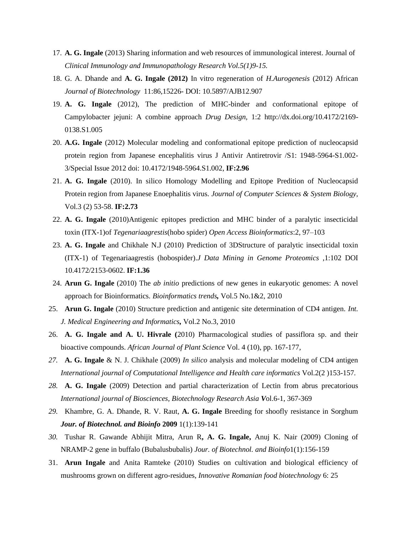- 17. **A. G. Ingale** (2013) Sharing information and web resources of immunological interest. Journal of *Clinical Immunology and Immunopathology Research Vol.5(1)9-15.*
- 18. G. A. Dhande and **A. G. Ingale (2012)** In vitro regeneration of *H.Aurogenesis* (2012) African *Journal of Biotechnology* 11:86,15226- DOI: 10.5897/AJB12.907
- 19. **A. G. Ingale** (2012), The prediction of MHC-binder and conformational epitope of Campylobacter jejuni: A combine approach *Drug Design,* 1:2 http://dx.doi.org/10.4172/2169- 0138.S1.005
- 20. **A.G. Ingale** (2012) Molecular modeling and conformational epitope prediction of nucleocapsid protein region from Japanese encephalitis virus J Antivir Antiretrovir /S1: 1948-5964-S1.002- 3/Special Issue 2012 doi: 10.4172/1948-5964.S1.002, **IF:2.96**
- 21. **A. G. Ingale** (2010). In silico Homology Modelling and Epitope Predition of Nucleocapsid Protein region from Japanese Enoephalitis virus. *Journal of Computer Sciences & System Biology,* Vol.3 (2) 53-58. **IF:2.73**
- 22. **A. G. Ingale** (2010)Antigenic epitopes prediction and MHC binder of a paralytic insecticidal toxin (ITX-1)of *Tegenariaagrestis*(hobo spider) *Open Access Bioinformatics*:2, 97–103
- 23. **A. G. Ingale** and Chikhale N.J (2010) Prediction of 3DStructure of paralytic insecticidal toxin (ITX-1) of Tegenariaagrestis (hobospider).*J Data Mining in Genome Proteomics* ,1:102 DOI 10.4172/2153-0602. **IF:1.36**
- 24. **Arun G. Ingale** (2010) The *ab initio* predictions of new genes in eukaryotic genomes: A novel approach for Bioinformatics*. Bioinformatics trends,* Vol.5 No.1&2, 2010
- 25. **Arun G. Ingale** (2010) Structure prediction and antigenic site determination of CD4 antigen. *Int. J. Medical Engineering and Informatics,* Vol.2 No.3, 2010
- 26. **A. G. Ingale and A. U. Hivrale (**2010) Pharmacological studies of passiflora sp. and their bioactive compounds. *African Journal of Plant Science* Vol. 4 (10), pp. 167-177,
- *27.* **A. G. Ingale** & N. J. Chikhale (2009) *In silico* analysis and molecular modeling of CD4 antigen *International journal of Computational Intelligence and Health care informatics* Vol.2(2 )153-157*.*
- *28.* **A. G. Ingale** (2009) Detection and partial characterization of Lectin from abrus precatorious *International journal of Biosciences, Biotechnology Research Asia V*ol.6-1, 367-369
- *29.* Khambre, G. A. Dhande, R. V. Raut, **A. G. Ingale** Breeding for shoofly resistance in Sorghum *Jour. of Biotechnol. and Bioinfo* **2009** 1(1):139-141
- *30.* Tushar R. Gawande Abhijit Mitra, Arun R**, A. G. Ingale,** Anuj K. Nair (2009) Cloning of NRAMP-2 gene in buffalo (Bubalusbubalis) *Jour. of Biotechnol. and Bioinfo*1(1):156-159
- 31. **Arun Ingale** and Anita Ramteke (2010) Studies on cultivation and biological efficiency of mushrooms grown on different agro-residues, *Innovative Romanian food biotechnology* 6: 25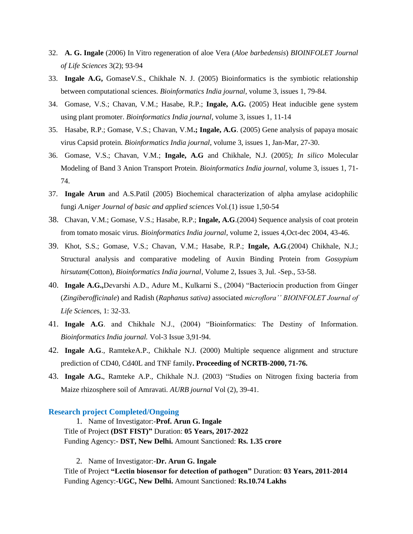- 32. **A. G. Ingale** (2006) In Vitro regeneration of aloe Vera (*Aloe barbedensis*) *BIOINFOLET Journal of Life Sciences* 3(2); 93-94
- 33. **Ingale A.G,** GomaseV.S., Chikhale N. J. (2005) Bioinformatics is the symbiotic relationship between computational sciences. *Bioinformatics India journal*, volume 3, issues 1, 79-84.
- 34. Gomase, V.S.; Chavan, V.M.; Hasabe, R.P.; **Ingale, A.G.** (2005) Heat inducible gene system using plant promoter. *Bioinformatics India journal*, volume 3, issues 1, 11-14
- 35. Hasabe, R.P.; Gomase, V.S.; Chavan, V.M**.; Ingale, A.G**. (2005) Gene analysis of papaya mosaic virus Capsid protein. *Bioinformatics India journal*, volume 3, issues 1, Jan-Mar, 27-30.
- 36. Gomase, V.S.; Chavan, V.M.; **Ingale, A.G** and Chikhale, N.J. (2005); *In silico* Molecular Modeling of Band 3 Anion Transport Protein. *Bioinformatics India journal,* volume 3, issues 1, 71- 74.
- 37. **Ingale Arun** and A.S.Patil (2005) Biochemical characterization of alpha amylase acidophilic fungi *A.niger Journal of basic and applied sciences* Vol.(1) issue 1,50-54
- 38. Chavan, V.M.; Gomase, V.S.; Hasabe, R.P.; **Ingale, A.G**.(2004) Sequence analysis of coat protein from tomato mosaic virus*. Bioinformatics India journal*, volume 2, issues 4,Oct-dec 2004, 43-46.
- 39. Khot, S.S.; Gomase, V.S.; Chavan, V.M.; Hasabe, R.P.; **Ingale, A.G**.(2004) Chikhale, N.J.; Structural analysis and comparative modeling of Auxin Binding Protein from *Gossypium hirsutam*(Cotton), *Bioinformatics India journal*, Volume 2, Issues 3, Jul. -Sep., 53-58.
- 40. **Ingale A.G.,**Devarshi A.D., Adure M., Kulkarni S., (2004) "Bacteriocin production from Ginger (*Zingiberofficinale*) and Radish (*Raphanus sativa)* associated *microflora'' BIOINFOLET Journal of Life Science*s, 1: 32-33.
- 41. **Ingale A.G**. and Chikhale N.J., (2004) "Bioinformatics: The Destiny of Information. *Bioinformatics India journal.* Vol-3 Issue 3,91-94.
- 42. **Ingale A.G**., RamtekeA.P., Chikhale N.J. (2000) Multiple sequence alignment and structure prediction of CD40, Cd40L and TNF family**. Proceeding of NCRTB-2000, 71-76.**
- 43. **Ingale A.G.**, Ramteke A.P., Chikhale N.J. (2003) "Studies on Nitrogen fixing bacteria from Maize rhizosphere soil of Amravati. *AURB journal* Vol (2), 39-41.

#### **Research project Completed/Ongoing**

1. Name of Investigator:-**Prof. Arun G. Ingale** Title of Project **(DST FIST)"** Duration: **05 Years, 2017-2022** Funding Agency:- **DST, New Delhi.** Amount Sanctioned: **Rs. 1.35 crore**

2. Name of Investigator:-**Dr. Arun G. Ingale** Title of Project **"Lectin biosensor for detection of pathogen"** Duration: **03 Years, 2011-2014** Funding Agency:-**UGC, New Delhi.** Amount Sanctioned: **Rs.10.74 Lakhs**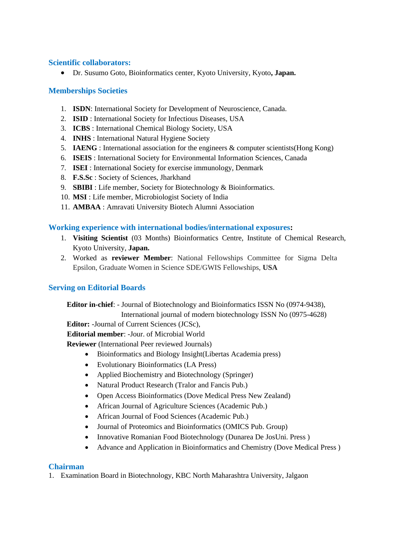## **Scientific collaborators:**

• Dr. Susumo Goto, Bioinformatics center, Kyoto University, Kyoto**, Japan.**

## **Memberships Societies**

- 1. **ISDN**: International Society for Development of Neuroscience, Canada.
- 2. **ISID** : International Society for Infectious Diseases, USA
- 3. **ICBS** : International Chemical Biology Society, USA
- 4. **INHS** : International Natural Hygiene Society
- 5. **IAENG** : International association for the engineers & computer scientists(Hong Kong)
- 6. **ISEIS** : International Society for Environmental Information Sciences, Canada
- 7. **ISEI** : International Society for exercise immunology, Denmark
- 8. **F.S.Sc** : Society of Sciences, Jharkhand
- 9. **SBIBI** : Life member, Society for Biotechnology & Bioinformatics.
- 10. **MSI** : Life member, Microbiologist Society of India
- 11. **AMBAA** : Amravati University Biotech Alumni Association

#### **Working experience with international bodies/international exposures:**

- 1. **Visiting Scientist** (03 Months) Bioinformatics Centre, Institute of Chemical Research, Kyoto University, **Japan.**
- 2. Worked as **reviewer Member**: National Fellowships Committee for Sigma Delta Epsilon, Graduate Women in Science SDE/GWIS Fellowships, **USA**

## **Serving on Editorial Boards**

**Editor in-chief**: - Journal of Biotechnology and Bioinformatics ISSN No (0974-9438),

International journal of modern biotechnology ISSN No (0975-4628)

**Editor:** -Journal of Current Sciences (JCSc),

**Editorial member**: -Jour. of Microbial World

**Reviewer** (International Peer reviewed Journals)

- Bioinformatics and Biology Insight(Libertas Academia press)
- Evolutionary Bioinformatics (LA Press)
- Applied Biochemistry and Biotechnology (Springer)
- Natural Product Research (Tralor and Fancis Pub.)
- Open Access Bioinformatics (Dove Medical Press New Zealand)
- African Journal of Agriculture Sciences (Academic Pub.)
- African Journal of Food Sciences (Academic Pub.)
- Journal of Proteomics and Bioinformatics (OMICS Pub. Group)
- Innovative Romanian Food Biotechnology (Dunarea De JosUni. Press )
- Advance and Application in Bioinformatics and Chemistry (Dove Medical Press )

#### **Chairman**

1. Examination Board in Biotechnology, KBC North Maharashtra University, Jalgaon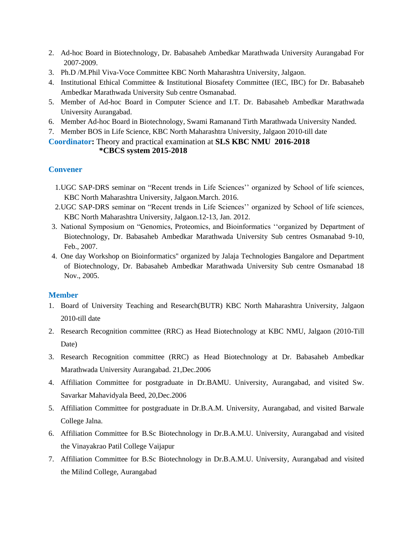- 2. Ad-hoc Board in Biotechnology, Dr. Babasaheb Ambedkar Marathwada University Aurangabad For 2007-2009.
- 3. Ph.D /M.Phil Viva-Voce Committee KBC North Maharashtra University, Jalgaon.
- 4. Institutional Ethical Committee & Institutional Biosafety Committee (IEC, IBC) for Dr. Babasaheb Ambedkar Marathwada University Sub centre Osmanabad.
- 5. Member of Ad-hoc Board in Computer Science and I.T. Dr. Babasaheb Ambedkar Marathwada University Aurangabad.
- 6. Member Ad-hoc Board in Biotechnology, Swami Ramanand Tirth Marathwada University Nanded.
- 7. Member BOS in Life Science, KBC North Maharashtra University, Jalgaon 2010-till date

**Coordinator:** Theory and practical examination at **SLS KBC NMU 2016-2018**

#### **\*CBCS system 2015-2018**

## **Convener**

- 1.UGC SAP-DRS seminar on "Recent trends in Life Sciences'' organized by School of life sciences, KBC North Maharashtra University, Jalgaon.March. 2016.
- 2.UGC SAP-DRS seminar on "Recent trends in Life Sciences'' organized by School of life sciences, KBC North Maharashtra University, Jalgaon.12-13, Jan. 2012.
- 3. National Symposium on "Genomics, Proteomics, and Bioinformatics ''organized by Department of Biotechnology, Dr. Babasaheb Ambedkar Marathwada University Sub centres Osmanabad 9-10, Feb., 2007.
- 4. One day Workshop on Bioinformatics'' organized by Jalaja Technologies Bangalore and Department of Biotechnology, Dr. Babasaheb Ambedkar Marathwada University Sub centre Osmanabad 18 Nov., 2005.

## **Member**

- 1. Board of University Teaching and Research(BUTR) KBC North Maharashtra University, Jalgaon 2010-till date
- 2. Research Recognition committee (RRC) as Head Biotechnology at KBC NMU, Jalgaon (2010-Till Date)
- 3. Research Recognition committee (RRC) as Head Biotechnology at Dr. Babasaheb Ambedkar Marathwada University Aurangabad. 21,Dec.2006
- 4. Affiliation Committee for postgraduate in Dr.BAMU. University, Aurangabad, and visited Sw. Savarkar Mahavidyala Beed, 20,Dec.2006
- 5. Affiliation Committee for postgraduate in Dr.B.A.M. University, Aurangabad, and visited Barwale College Jalna.
- 6. Affiliation Committee for B.Sc Biotechnology in Dr.B.A.M.U. University, Aurangabad and visited the Vinayakrao Patil College Vaijapur
- 7. Affiliation Committee for B.Sc Biotechnology in Dr.B.A.M.U. University, Aurangabad and visited the Milind College, Aurangabad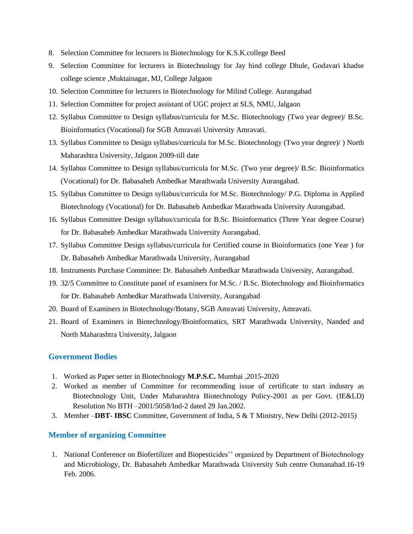- 8. Selection Committee for lecturers in Biotechnology for K.S.K.college Beed
- 9. Selection Committee for lecturers in Biotechnology for Jay hind college Dhule, Godavari khadse college science ,Muktainagar, MJ, College Jalgaon
- 10. Selection Committee for lecturers in Biotechnology for Milind College. Aurangabad
- 11. Selection Committee for project assistant of UGC project at SLS, NMU, Jalgaon
- 12. Syllabus Committee to Design syllabus/curricula for M.Sc. Biotechnology (Two year degree)/ B.Sc. Bioinformatics (Vocational) for SGB Amravati University Amravati.
- 13. Syllabus Committee to Design syllabus/curricula for M.Sc. Biotechnology (Two year degree)/ ) North Maharashtra University, Jalgaon 2009-till date
- 14. Syllabus Committee to Design syllabus/curricula for M.Sc. (Two year degree)/ B.Sc. Bioinformatics (Vocational) for Dr. Babasaheb Ambedkar Marathwada University Aurangabad.
- 15. Syllabus Committee to Design syllabus/curricula for M.Sc. Biotechnology/ P.G. Diploma in Applied Biotechnology (Vocational) for Dr. Babasaheb Ambedkar Marathwada University Aurangabad.
- 16. Syllabus Committee Design syllabus/curricula for B.Sc. Bioinformatics (Three Year degree Course) for Dr. Babasaheb Ambedkar Marathwada University Aurangabad.
- 17. Syllabus Committee Design syllabus/curricula for Certified course in Bioinformatics (one Year ) for Dr. Babasaheb Ambedkar Marathwada University, Aurangabad
- 18. Instruments Purchase Committee: Dr. Babasaheb Ambedkar Marathwada University, Aurangabad.
- 19. 32/5 Committee to Constitute panel of examiners for M.Sc. / B.Sc. Biotechnology and Bioinformatics for Dr. Babasaheb Ambedkar Marathwada University, Aurangabad
- 20. Board of Examiners in Biotechnology/Botany, SGB Amravati University, Amravati.
- 21. Board of Examiners in Biotechnology/Bioinformatics, SRT Marathwada University, Nanded and North Maharashtra University, Jalgaon

#### **Government Bodies**

- 1. Worked as Paper setter in Biotechnology **M.P.S.C.** Mumbai ,2015-2020
- 2. Worked as member of Committee for recommending issue of certificate to start industry as Biotechnology Unit, Under Maharashtra Biotechnology Policy-2001 as per Govt. (IE&LD) Resolution No BTH –2001/5058/Ind-2 dated 29 Jan.2002.
- 3. Member –**DBT- IBSC** Committee, Government of India, S & T Ministry, New Delhi (2012-2015)

#### **Member of organizing Committee**

1. National Conference on Biofertilizer and Biopesticides'' organized by Department of Biotechnology and Microbiology, Dr. Babasaheb Ambedkar Marathwada University Sub centre Osmanabad.16-19 Feb. 2006.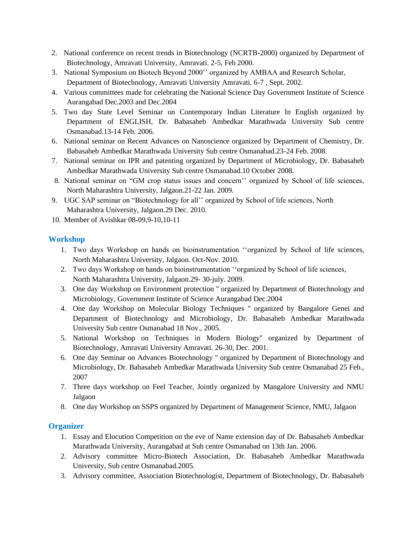- 2. National conference on recent trends in Biotechnology (NCRTB-2000) organized by Department of Biotechnology, Amravati University, Amravati. 2-5, Feb 2000.
- 3. National Symposium on Biotech Beyond 2000'' organized by AMBAA and Research Scholar, Department of Biotechnology, Amravati University Amravati. 6-7 , Sept. 2002.
- 4. Various committees made for celebrating the National Science Day Government Institute of Science Aurangabad Dec.2003 and Dec.2004
- 5. Two day State Level Seminar on Contemporary Indian Literature In English organized by Department of ENGLISH, Dr. Babasaheb Ambedkar Marathwada University Sub centre Osmanabad.13-14 Feb. 2006.
- 6. National seminar on Recent Advances on Nanoscience organized by Department of Chemistry, Dr. Babasaheb Ambedkar Marathwada University Sub centre Osmanabad.23-24 Feb. 2008.
- 7. National seminar on IPR and patenting organized by Department of Microbiology, Dr. Babasaheb Ambedkar Marathwada University Sub centre Osmanabad.10 October 2008.
- 8. National seminar on "GM crop status issues and concern'' organized by School of life sciences, North Maharashtra University, Jalgaon.21-22 Jan. 2009.
- 9. UGC SAP seminar on "Biotechnology for all'' organized by School of life sciences, North Maharashtra University, Jalgaon.29 Dec. 2010.
- 10. Member of Avishkar 08-09,9-10,10-11

## **Workshop**

- 1. Two days Workshop on hands on bioinstrumentation ''organized by School of life sciences, North Maharashtra University, Jalgaon. Oct-Nov. 2010.
- 2. Two days Workshop on hands on bioinstrumentation ''organized by School of life sciences, North Maharashtra University, Jalgaon.29- 30-july. 2009.
- 3. One day Workshop on Environment protection '' organized by Department of Biotechnology and Microbiology, Government Institute of Science Aurangabad Dec.2004
- 4. One day Workshop on Molecular Biology Techniques '' organized by Bangalore Genei and Department of Biotechnology and Microbiology, Dr. Babasaheb Ambedkar Marathwada University Sub centre Osmanabad 18 Nov., 2005.
- 5. National Workshop on Techniques in Modern Biology'' organized by Department of Biotechnology, Amravati University Amravati. 26-30, Dec. 2001.
- 6. One day Seminar on Advances Biotechnology '' organized by Department of Biotechnology and Microbiology, Dr. Babasaheb Ambedkar Marathwada University Sub centre Osmanabad 25 Feb., 2007
- 7. Three days workshop on Feel Teacher, Jointly organized by Mangalore University and NMU Jalgaon
- 8. One day Workshop on SSPS organized by Department of Management Science, NMU, Jalgaon

## **Organizer**

- 1. Essay and Elocution Competition on the eve of Name extension day of Dr. Babasaheb Ambedkar Marathwada University, Aurangabad at Sub centre Osmanabad on 13th Jan. 2006.
- 2. Advisory committee Micro-Biotech Association, Dr. Babasaheb Ambedkar Marathwada University, Sub centre Osmanabad.2005.
- 3. Advisory committee, Association Biotechnologist, Department of Biotechnology, Dr. Babasaheb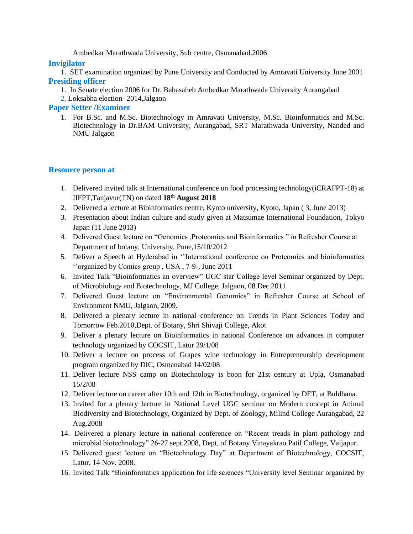Ambedkar Marathwada University, Sub centre, Osmanabad.2006

#### **Invigilator**

1. SET examination organized by Pune University and Conducted by Amravati University June 2001 **Presiding officer**

- 1. In Senate election 2006 for Dr. Babasaheb Ambedkar Marathwada University Aurangabad
- 2. Loksabha election- 2014,Jalgaon

## **Paper Setter /Examiner**

1. For B.Sc. and M.Sc. Biotechnology in Amravati University, M.Sc. Bioinformatics and M.Sc. Biotechnology in Dr.BAM University, Aurangabad, SRT Marathwada University, Nanded and NMU Jalgaon

## **Resource person at**

- 1. Delivered invited talk at International conference on food processing technology(iCRAFPT-18) at IIFPT,Tanjavur(TN) on dated **18th August 2018**
- 2. Delivered a lecture at Bioinformatics centre, Kyoto university, Kyoto, Japan ( 3, June 2013)
- 3. Presentation about Indian culture and study given at Matsumae International Foundation, Tokyo Japan (11 June 2013)
- 4. Delivered Guest lecture on "Genomics ,Proteomics and Bioinformatics " in Refresher Course at Department of botany, University, Pune,15/10/2012
- 5. Deliver a Speech at Hyderabad in ''International conference on Proteomics and bioinformatics ''organized by Comics group , USA , 7-9-, June 2011
- 6. Invited Talk "Bioinformatics an overview" UGC star College level Seminar organized by Dept. of Microbiology and Biotechnology, MJ College, Jalgaon, 08 Dec.2011.
- 7. Delivered Guest lecture on "Environmental Genomics" in Refresher Course at School of Environment NMU, Jalgaon, 2009.
- 8. Delivered a plenary lecture in national conference on Trends in Plant Sciences Today and Tomorrow Feb.2010,Dept. of Botany, Shri Shivaji College, Akot
- 9. Deliver a plenary lecture on Bioinformatics in national Conference on advances in computer technology organized by COCSIT, Latur 29/1/08
- 10. Deliver a lecture on process of Grapes wine technology in Entrepreneurship development program organized by DIC, Osmanabad 14/02/08
- 11. Deliver lecture NSS camp on Biotechnology is boon for 21st century at Upla, Osmanabad 15/2/08
- 12. Deliver lecture on career after 10th and 12th in Biotechnology, organized by DET, at Buldhana.
- 13. Invited for a plenary lecture in National Level UGC seminar on Modern concept in Animal Biodiversity and Biotechnology, Organized by Dept. of Zoology, Milind College Aurangabad, 22 Aug.2008
- 14. Delivered a plenary lecture in national conference on "Recent treads in plant pathology and microbial biotechnology" 26-27 sept.2008, Dept. of Botany Vinayakrao Patil College, Vaijapur.
- 15. Delivered guest lecture on "Biotechnology Day" at Department of Biotechnology, COCSIT, Latur, 14 Nov. 2008.
- 16. Invited Talk "Bioinformatics application for life sciences "University level Seminar organized by